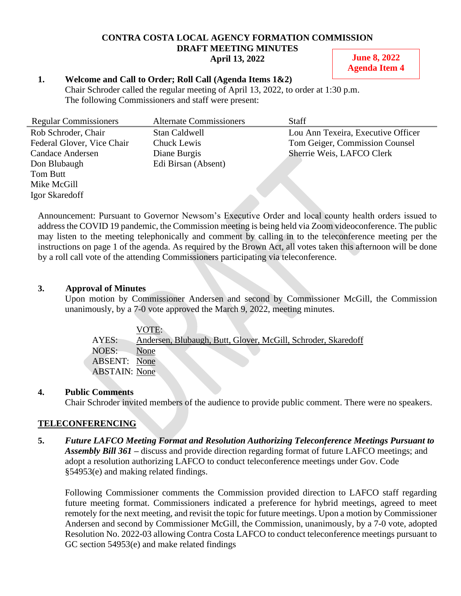#### **CONTRA COSTA LOCAL AGENCY FORMATION COMMISSION DRAFT MEETING MINUTES April 13, 2022**

### **June 8, 2022 Agenda Item 4**

## **1. Welcome and Call to Order; Roll Call (Agenda Items 1&2)**

Chair Schroder called the regular meeting of April 13, 2022, to order at 1:30 p.m. The following Commissioners and staff were present:

| <b>Regular Commissioners</b> | <b>Alternate Commissioners</b> | <b>Staff</b>                       |
|------------------------------|--------------------------------|------------------------------------|
| Rob Schroder, Chair          | Stan Caldwell                  | Lou Ann Texeira, Executive Officer |
| Federal Glover, Vice Chair   | Chuck Lewis                    | Tom Geiger, Commission Counsel     |
| <b>Candace Andersen</b>      | Diane Burgis                   | Sherrie Weis, LAFCO Clerk          |
| Don Blubaugh                 | Edi Birsan (Absent)            |                                    |
| Tom Butt                     |                                |                                    |
| Mike McGill                  |                                |                                    |
| Igor Skaredoff               |                                |                                    |

Announcement: Pursuant to Governor Newsom's Executive Order and local county health orders issued to address the COVID 19 pandemic, the Commission meeting is being held via Zoom videoconference. The public may listen to the meeting telephonically and comment by calling in to the teleconference meeting per the instructions on page 1 of the agenda. As required by the Brown Act, all votes taken this afternoon will be done by a roll call vote of the attending Commissioners participating via teleconference.

## **3. Approval of Minutes**

Upon motion by Commissioner Andersen and second by Commissioner McGill, the Commission unanimously, by a 7-0 vote approved the March 9, 2022, meeting minutes.

|                      | VOTE:                                                         |
|----------------------|---------------------------------------------------------------|
| AYES:                | Andersen, Blubaugh, Butt, Glover, McGill, Schroder, Skaredoff |
| <b>NOES:</b>         | None                                                          |
| ABSENT: None         |                                                               |
| <b>ABSTAIN:</b> None |                                                               |

# **4. Public Comments**

Chair Schroder invited members of the audience to provide public comment. There were no speakers.

# **TELECONFERENCING**

**5.** *Future LAFCO Meeting Format and Resolution Authorizing Teleconference Meetings Pursuant to Assembly Bill 361 –* discuss and provide direction regarding format of future LAFCO meetings; and adopt a resolution authorizing LAFCO to conduct teleconference meetings under Gov. Code §54953(e) and making related findings.

Following Commissioner comments the Commission provided direction to LAFCO staff regarding future meeting format. Commissioners indicated a preference for hybrid meetings, agreed to meet remotely for the next meeting, and revisit the topic for future meetings. Upon a motion by Commissioner Andersen and second by Commissioner McGill, the Commission, unanimously, by a 7-0 vote, adopted Resolution No. 2022-03 allowing Contra Costa LAFCO to conduct teleconference meetings pursuant to GC section 54953(e) and make related findings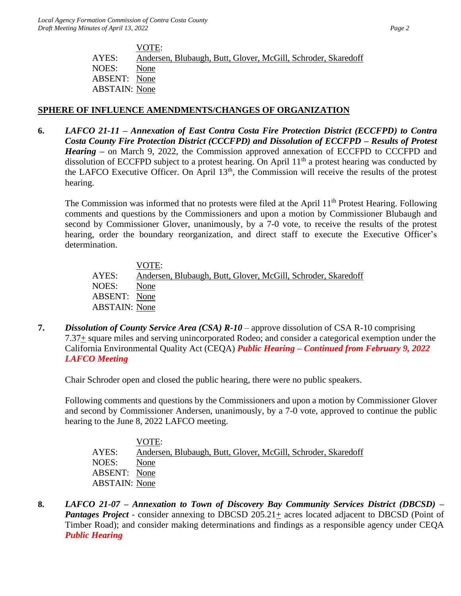VOTE: AYES: Andersen, Blubaugh, Butt, Glover, McGill, Schroder, Skaredoff NOES: None ABSENT: None ABSTAIN: None

# **SPHERE OF INFLUENCE AMENDMENTS/CHANGES OF ORGANIZATION**

**6.** *LAFCO 21-11 – Annexation of East Contra Costa Fire Protection District (ECCFPD) to Contra Costa County Fire Protection District (CCCFPD) and Dissolution of ECCFPD – Results of Protest Hearing –* on March 9, 2022, the Commission approved annexation of ECCFPD to CCCFPD and dissolution of ECCFPD subject to a protest hearing. On April  $11<sup>th</sup>$  a protest hearing was conducted by the LAFCO Executive Officer. On April 13th, the Commission will receive the results of the protest hearing.

The Commission was informed that no protests were filed at the April 11<sup>th</sup> Protest Hearing. Following comments and questions by the Commissioners and upon a motion by Commissioner Blubaugh and second by Commissioner Glover, unanimously, by a 7-0 vote, to receive the results of the protest hearing, order the boundary reorganization, and direct staff to execute the Executive Officer's determination.

VOTE: AYES: Andersen, Blubaugh, Butt, Glover, McGill, Schroder, Skaredoff NOES: None ABSENT: None ABSTAIN: None

**7.** *Dissolution of County Service Area (CSA) R-10* – approve dissolution of CSA R-10 comprising 7.37+ square miles and serving unincorporated Rodeo; and consider a categorical exemption under the California Environmental Quality Act (CEQA) *Public Hearing – Continued from February 9, 2022 LAFCO Meeting*

Chair Schroder open and closed the public hearing, there were no public speakers.

Following comments and questions by the Commissioners and upon a motion by Commissioner Glover and second by Commissioner Andersen, unanimously, by a 7-0 vote, approved to continue the public hearing to the June 8, 2022 LAFCO meeting.

VOTE: AYES: Andersen, Blubaugh, Butt, Glover, McGill, Schroder, Skaredoff NOES: None ABSENT: None ABSTAIN: None

**8.** *LAFCO 21-07 – Annexation to Town of Discovery Bay Community Services District (DBCSD) – Pantages Project* - consider annexing to DBCSD 205.21+ acres located adjacent to DBCSD (Point of Timber Road); and consider making determinations and findings as a responsible agency under CEQA *Public Hearing*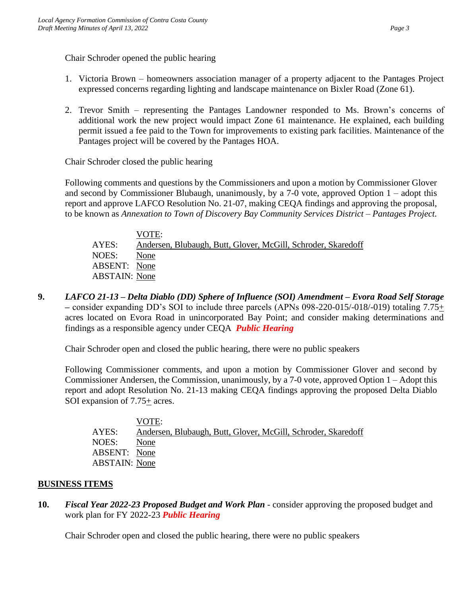Chair Schroder opened the public hearing

- 1. Victoria Brown homeowners association manager of a property adjacent to the Pantages Project expressed concerns regarding lighting and landscape maintenance on Bixler Road (Zone 61).
- 2. Trevor Smith representing the Pantages Landowner responded to Ms. Brown's concerns of additional work the new project would impact Zone 61 maintenance. He explained, each building permit issued a fee paid to the Town for improvements to existing park facilities. Maintenance of the Pantages project will be covered by the Pantages HOA.

Chair Schroder closed the public hearing

Following comments and questions by the Commissioners and upon a motion by Commissioner Glover and second by Commissioner Blubaugh, unanimously, by a 7-0 vote, approved Option  $1 -$ adopt this report and approve LAFCO Resolution No. 21-07, making CEQA findings and approving the proposal, to be known as *Annexation to Town of Discovery Bay Community Services District – Pantages Project.*

|                      | VOTE:                                                         |
|----------------------|---------------------------------------------------------------|
| AYES:                | Andersen, Blubaugh, Butt, Glover, McGill, Schroder, Skaredoff |
| NOES:                | None                                                          |
| <b>ABSENT:</b> None  |                                                               |
| <b>ABSTAIN:</b> None |                                                               |

**9.** *LAFCO 21-13 – Delta Diablo (DD) Sphere of Influence (SOI) Amendment – Evora Road Self Storage –* consider expanding DD's SOI to include three parcels (APNs 098-220-015/-018/-019) totaling 7.75+ acres located on Evora Road in unincorporated Bay Point; and consider making determinations and findings as a responsible agency under CEQA *Public Hearing*

Chair Schroder open and closed the public hearing, there were no public speakers

Following Commissioner comments, and upon a motion by Commissioner Glover and second by Commissioner Andersen, the Commission, unanimously, by a 7-0 vote, approved Option 1 – Adopt this report and adopt Resolution No. 21-13 making CEQA findings approving the proposed Delta Diablo SOI expansion of 7.75+ acres.

|                      | VOTE:                                                         |
|----------------------|---------------------------------------------------------------|
| AYES:                | Andersen, Blubaugh, Butt, Glover, McGill, Schroder, Skaredoff |
| NOES:                | None                                                          |
| <b>ABSENT:</b> None  |                                                               |
| <b>ABSTAIN:</b> None |                                                               |

# **BUSINESS ITEMS**

**10.** *Fiscal Year 2022-23 Proposed Budget and Work Plan* - consider approving the proposed budget and work plan for FY 2022-23 *Public Hearing*

Chair Schroder open and closed the public hearing, there were no public speakers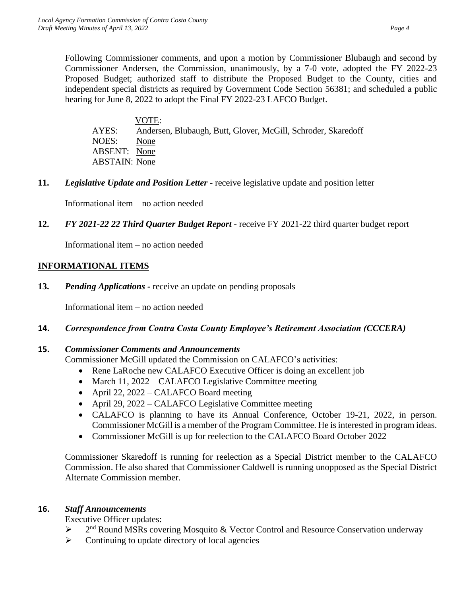Following Commissioner comments, and upon a motion by Commissioner Blubaugh and second by Commissioner Andersen, the Commission, unanimously, by a 7-0 vote, adopted the FY 2022-23 Proposed Budget; authorized staff to distribute the Proposed Budget to the County, cities and independent special districts as required by Government Code Section 56381; and scheduled a public hearing for June 8, 2022 to adopt the Final FY 2022-23 LAFCO Budget.

 VOTE: AYES: Andersen, Blubaugh, Butt, Glover, McGill, Schroder, Skaredoff NOES: None ABSENT: None ABSTAIN: None

**11.** *Legislative Update and Position Letter -* receive legislative update and position letter

Informational item – no action needed

**12.** *FY 2021-22 22 Third Quarter Budget Report -* receive FY 2021-22 third quarter budget report

Informational item – no action needed

### **INFORMATIONAL ITEMS**

**13.** *Pending Applications -* receive an update on pending proposals

Informational item – no action needed

**14.** *Correspondence from Contra Costa County Employee's Retirement Association (CCCERA)*

#### **15.** *Commissioner Comments and Announcements*

Commissioner McGill updated the Commission on CALAFCO's activities:

- Rene LaRoche new CALAFCO Executive Officer is doing an excellent job
- March 11, 2022 CALAFCO Legislative Committee meeting
- April 22, 2022 CALAFCO Board meeting
- April 29, 2022 CALAFCO Legislative Committee meeting
- CALAFCO is planning to have its Annual Conference, October 19-21, 2022, in person. Commissioner McGill is a member of the Program Committee. He is interested in program ideas.
- Commissioner McGill is up for reelection to the CALAFCO Board October 2022

Commissioner Skaredoff is running for reelection as a Special District member to the CALAFCO Commission. He also shared that Commissioner Caldwell is running unopposed as the Special District Alternate Commission member.

### **16.** *Staff Announcements*

Executive Officer updates:

- $\blacktriangleright$  $2<sup>nd</sup>$  Round MSRs covering Mosquito & Vector Control and Resource Conservation underway
- $\triangleright$  Continuing to update directory of local agencies